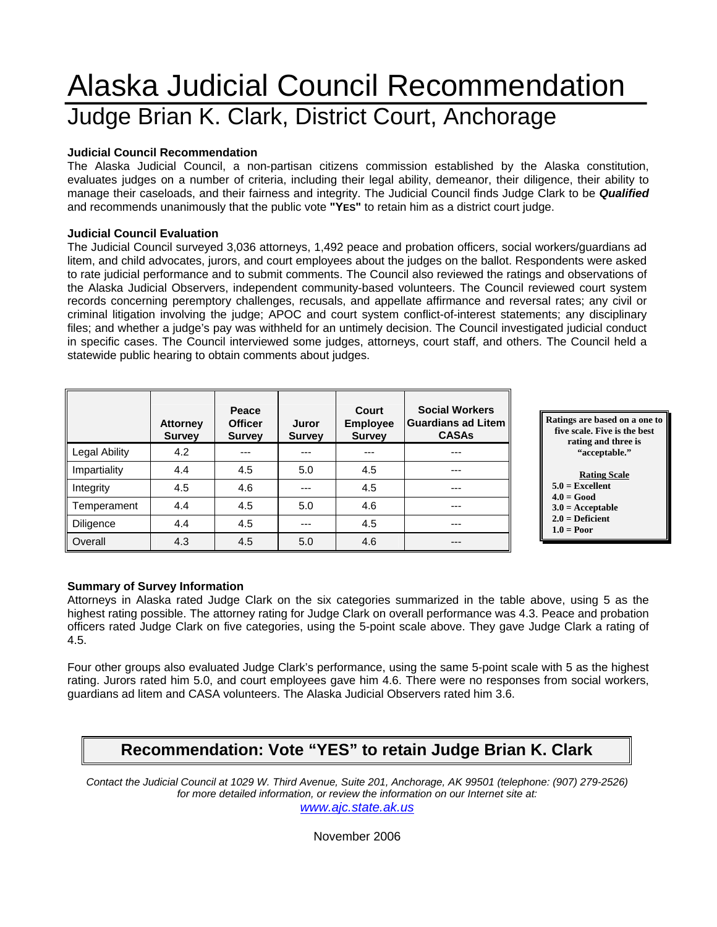# Alaska Judicial Council Recommendation Judge Brian K. Clark, District Court, Anchorage

#### **Judicial Council Recommendation**

The Alaska Judicial Council, a non-partisan citizens commission established by the Alaska constitution, evaluates judges on a number of criteria, including their legal ability, demeanor, their diligence, their ability to manage their caseloads, and their fairness and integrity. The Judicial Council finds Judge Clark to be *Qualified* and recommends unanimously that the public vote **"YES"** to retain him as a district court judge.

#### **Judicial Council Evaluation**

The Judicial Council surveyed 3,036 attorneys, 1,492 peace and probation officers, social workers/guardians ad litem, and child advocates, jurors, and court employees about the judges on the ballot. Respondents were asked to rate judicial performance and to submit comments. The Council also reviewed the ratings and observations of the Alaska Judicial Observers, independent community-based volunteers. The Council reviewed court system records concerning peremptory challenges, recusals, and appellate affirmance and reversal rates; any civil or criminal litigation involving the judge; APOC and court system conflict-of-interest statements; any disciplinary files; and whether a judge's pay was withheld for an untimely decision. The Council investigated judicial conduct in specific cases. The Council interviewed some judges, attorneys, court staff, and others. The Council held a statewide public hearing to obtain comments about judges.

|                  | <b>Attorney</b><br><b>Survey</b> | Peace<br><b>Officer</b><br><b>Survey</b> | Juror<br><b>Survey</b> | Court<br><b>Employee</b><br><b>Survey</b> | <b>Social Workers</b><br><b>Guardians ad Litem</b><br><b>CASAs</b> |
|------------------|----------------------------------|------------------------------------------|------------------------|-------------------------------------------|--------------------------------------------------------------------|
| Legal Ability    | 4.2                              | ---                                      | ---                    |                                           | ---                                                                |
| Impartiality     | 4.4                              | 4.5                                      | 5.0                    | 4.5                                       | ---                                                                |
| Integrity        | 4.5                              | 4.6                                      | ---                    | 4.5                                       | ---                                                                |
| Temperament      | 4.4                              | 4.5                                      | 5.0                    | 4.6                                       | ---                                                                |
| <b>Diligence</b> | 4.4                              | 4.5                                      | ---                    | 4.5                                       |                                                                    |
| Overall          | 4.3                              | 4.5                                      | 5.0                    | 4.6                                       |                                                                    |

**Ratings are based on a one to five scale. Five is the best rating and three is "acceptable."** 

#### **Rating Scale**

- **5.0 = Excellent**
- **4.0 = Good 3.0 = Acceptable**
- **2.0 = Deficient**
- $1.0 = Poor$

#### **Summary of Survey Information**

Attorneys in Alaska rated Judge Clark on the six categories summarized in the table above, using 5 as the highest rating possible. The attorney rating for Judge Clark on overall performance was 4.3. Peace and probation officers rated Judge Clark on five categories, using the 5-point scale above. They gave Judge Clark a rating of 4.5.

Four other groups also evaluated Judge Clark's performance, using the same 5-point scale with 5 as the highest rating. Jurors rated him 5.0, and court employees gave him 4.6. There were no responses from social workers, guardians ad litem and CASA volunteers. The Alaska Judicial Observers rated him 3.6.

## **Recommendation: Vote "YES" to retain Judge Brian K. Clark**

*Contact the Judicial Council at 1029 W. Third Avenue, Suite 201, Anchorage, AK 99501 (telephone: (907) 279-2526) for more detailed information, or review the information on our Internet site at:* 

*www.ajc.state.ak.us*

November 2006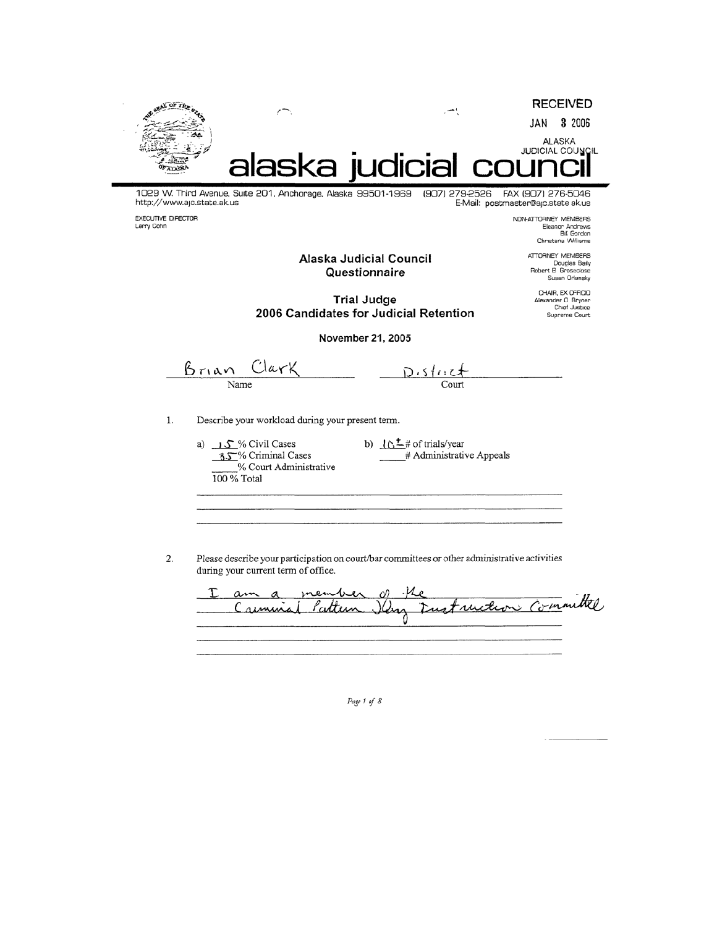

1029 W. Third Avenue, Suite 201, Anchorage, Alaska 99501-1969  $(907)$  279-2526 FAX (907) 276-5046 http://www.ajc.state.ak.us E-Mail: postmaster@ajc.state ak.us

EXECUTIVE DIRECTOR Larry Cohn

NON-ATTORNEY MEMBERS Eleanor Andrews<br>Eleanor Andrews<br>Elli Gordon Christena Williams

Alaska Judicial Council Questionnaire

ATTORNEY MEMBERS Douglas Baily<br>Douglas Baily<br>Robert B Groseclose Susan Orlansky

CHAIR, EX OFFICIO<br>Alexander O Bryner<br>Chief Justice

Supreme Court

**Trial Judge** 2006 Candidates for Judicial Retention

November 21, 2005

 $Clark$ Brian Name

 $D.5112$  $\overline{\text{Count}}$ 

 $1. \,$ Describe your workload during your present term.

> a)  $\sqrt{S}$ % Civil Cases 8.5% Criminal Cases % Court Administrative 100 % Total

b)  $10^{\frac{t}{2}}$  # of trials/year # Administrative Appeals

 $2.$ Please describe your participation on court/bar committees or other administrative activities during your current term of office.

mes c) ihe am  $\alpha$ Iling Fust ruction Committee Creminal Pattern

Page 1 of 8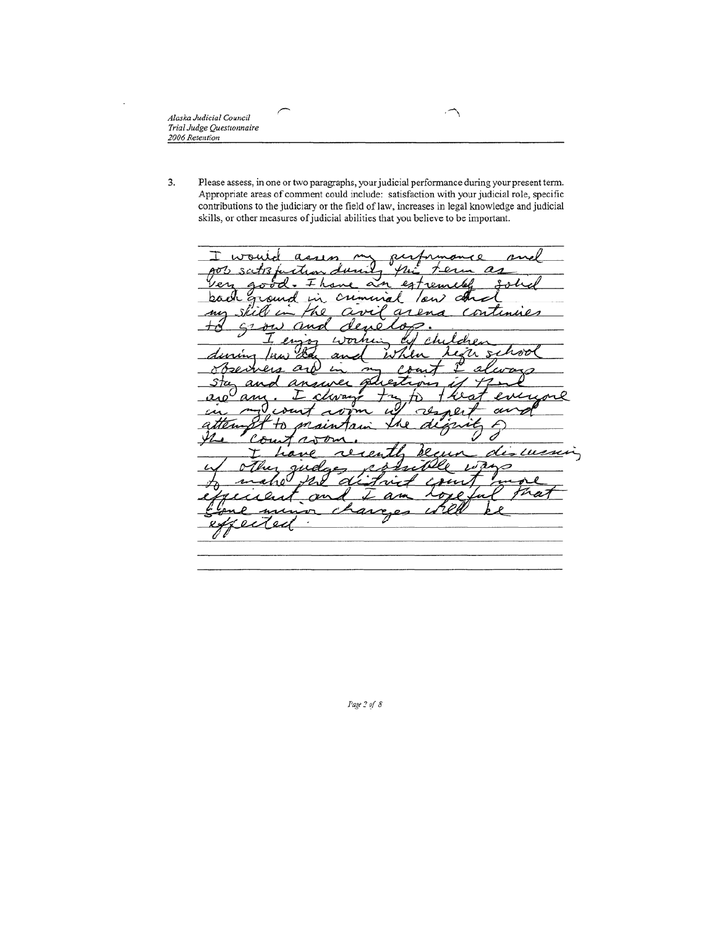3. Please assess, in one or two paragraphs, your judicial performance during your present term. Appropriate areas of comment could include: satisfaction with your judicial role, specific contributions to the judiciary or the field of law, increases in legal knowledge and judicial skills, or other measures of judicial abilities that you believe to be important.

 $\widehat{\phantom{a}}$ 

ℸ wout  $\mathcal{V}_{\boldsymbol{\varLambda}}$  $a_1$  $3/27/3$ oh  $247$  $\mathbf{\Omega}$ rew h٨ cЮ  $\overline{a}$ Continues nı ∽ mo ≂ r  $\mathcal{L}$   $\mathcal{L}$ har ŻΛ  $\mathbf{z}$ during Iил observer а stu an Δ كممت l  $a_{A}$ ov attem 0 <u>yz</u> Ĉ ' ди  $\overline{\phantom{a}}$ ň۳ <u>des cus</u>  $\mathcal{Q}_{\mathcal{A}}$ <u>wd</u> л  $\mu$ n  $o$ 'ec

Page 2 of 8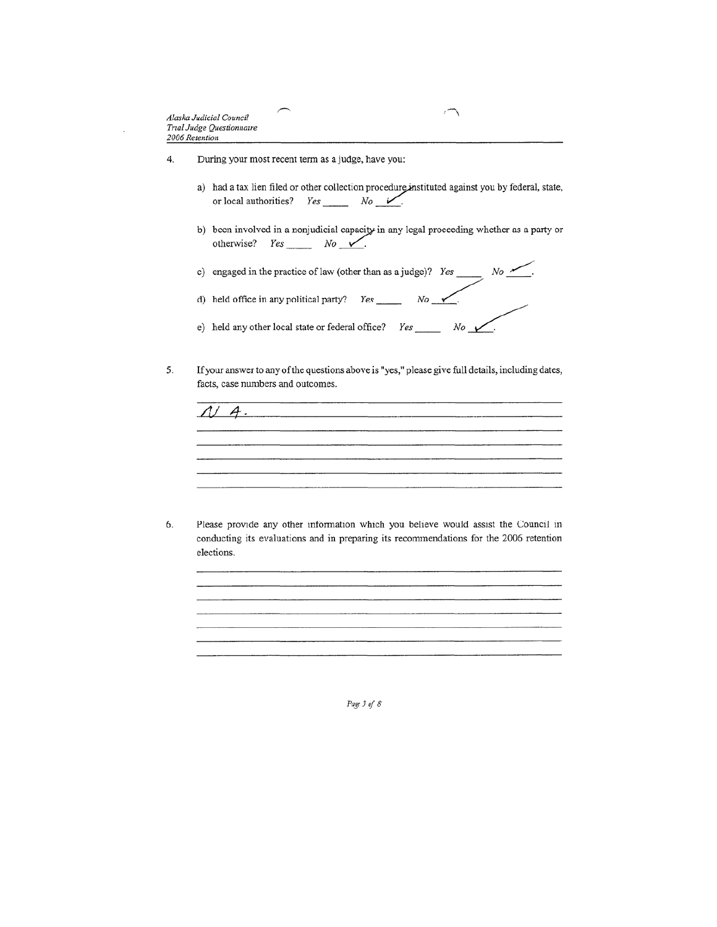- $\overline{4}$ . During your most recent term as a judge, have you:
	- a) had a tax lien filed or other collection procedure instituted against you by federal, state, or local authorities?  $Yes \_\_$  No V.

٦

- b) been involved in a nonjudicial capacity in any legal proceeding whether as a party or otherwise?  $Yes \_ No \_ \_$ .
- c) engaged in the practice of law (other than as a judge)? Yes \_\_\_\_\_\_\_ No \_\_\_\_\_\_\_.
- d) held office in any political party? Yes \_\_\_\_\_\_\_ No  $\sqrt{2}$ .
- e) held any other local state or federal office? Yes \_\_\_\_\_  $No \rightarrow$
- If your answer to any of the questions above is "yes," please give full details, including dates, 5. facts, case numbers and outcomes.

 $N$  4. 

Please provide any other information which you believe would assist the Council in 6. conducting its evaluations and in preparing its recommendations for the 2006 retention elections.

Page 3 of 8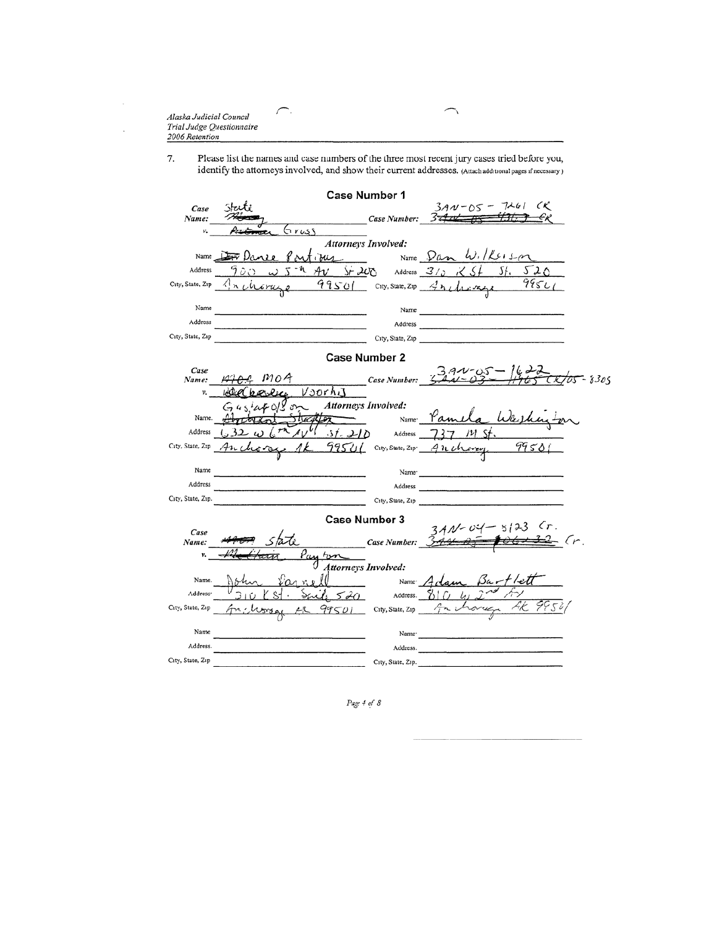×,

ï

Please list the names and case numbers of the three most recent jury cases tried before you, identify the attorneys involved, and show their current addresses. (Attach additional pages if necessary) 7.

ł ٦

| <b>Case Number 1</b> |                                                              |                                       |  |  |  |  |  |
|----------------------|--------------------------------------------------------------|---------------------------------------|--|--|--|--|--|
| Case                 |                                                              | $370 - 05 - 7261$ (K)                 |  |  |  |  |  |
| Name:                | <b>Case Number:</b>                                          | -32                                   |  |  |  |  |  |
| v.                   | Grusi                                                        |                                       |  |  |  |  |  |
|                      | Attorneys Involved:                                          | Name $\n  Dom \  W$ , $K_{12}$        |  |  |  |  |  |
| Name                 | ous                                                          |                                       |  |  |  |  |  |
| Address              | าออ<br>$5 - 20$                                              | 520<br>5f.<br>Address $3/2 \times 5/$ |  |  |  |  |  |
| City, State, Zip     | 99501 City, State, Zip 4mchinage<br>n <sub>th</sub><br>iraze | 995L                                  |  |  |  |  |  |
| Name                 | Name                                                         |                                       |  |  |  |  |  |
| Address              | Address                                                      |                                       |  |  |  |  |  |
| City, State, Zip     |                                                              | City, State, Zip                      |  |  |  |  |  |
|                      |                                                              |                                       |  |  |  |  |  |
|                      | <b>Case Number 2</b>                                         |                                       |  |  |  |  |  |
| Case<br>Name:        | mod<br><b>Case Number:</b>                                   | $3.41 - 0.5 - 1625$<br>8305           |  |  |  |  |  |
| v.                   | Voorhi                                                       |                                       |  |  |  |  |  |
|                      | Attorneys Involved:                                          |                                       |  |  |  |  |  |
| Name.                | Name <sup>-</sup>                                            | Warhu                                 |  |  |  |  |  |
| Address              | 31.210<br>Address                                            | 111                                   |  |  |  |  |  |
| City, State, Zip     | 99501 City, State, Zip Ancharge<br>Anl                       | 99501                                 |  |  |  |  |  |
|                      |                                                              |                                       |  |  |  |  |  |
| Name                 | Name <sup>.</sup>                                            |                                       |  |  |  |  |  |
| Address              | Address                                                      |                                       |  |  |  |  |  |
| City, State, Zip.    | City, State, Zip                                             |                                       |  |  |  |  |  |
|                      | Case Number 3                                                |                                       |  |  |  |  |  |
| Case                 |                                                              | $3AM - 04$                            |  |  |  |  |  |
| Name:                | Case Number: 3.44                                            |                                       |  |  |  |  |  |
| v.                   |                                                              |                                       |  |  |  |  |  |
|                      | Attorneys Involved:                                          |                                       |  |  |  |  |  |
| Name.                |                                                              | Name Aclown                           |  |  |  |  |  |
| Address <sup>.</sup> | 6520<br>Address.                                             |                                       |  |  |  |  |  |
| City, State, Zip     | $99501$ City, State, Zip                                     | 4K 995°1<br>ovy<br>ゲーし                |  |  |  |  |  |
| Name                 | Name <sup>-</sup>                                            |                                       |  |  |  |  |  |
| Address.             | Address.                                                     |                                       |  |  |  |  |  |
| City, State, Zip     | City, State, Zip.                                            |                                       |  |  |  |  |  |

Page 4 of 8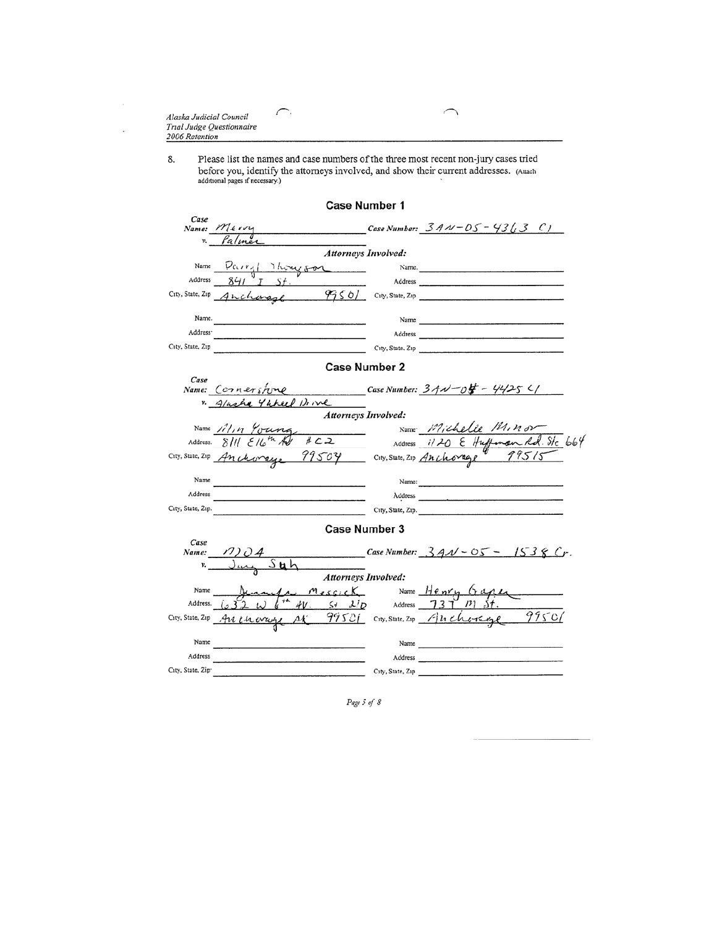| Alaska Judicial Council   |  |
|---------------------------|--|
| Trial Judge Questionnaire |  |
| 2006 Retention            |  |

 $\curvearrowright$ 

÷.

Please list the names and case numbers of the three most recent non-jury cases tried<br>before you, identify the attorneys involved, and show their current addresses. (Attach<br>additional pages if necessary.) 8.

╮ ╱

|                               | <b>Case Number 1</b>                                                                                            |                  |                                                                                                                 |
|-------------------------------|-----------------------------------------------------------------------------------------------------------------|------------------|-----------------------------------------------------------------------------------------------------------------|
| Case                          |                                                                                                                 |                  |                                                                                                                 |
| v.                            | Name: Merry                                                                                                     |                  | Case Number: $3A\,\nu$ – $0S$ – $43\,(3\,$ C)                                                                   |
|                               | <b>Attorneys Involved:</b>                                                                                      |                  |                                                                                                                 |
| Name                          | Parryl Thoughon                                                                                                 |                  | Name.                                                                                                           |
| Address                       |                                                                                                                 |                  |                                                                                                                 |
|                               | City, State, Zip Anchings                                                                                       |                  | $97561$ City, State, Zip                                                                                        |
|                               |                                                                                                                 |                  |                                                                                                                 |
| Name.                         | the contract of the contract of the contract of the contract of the contract of the contract of the contract of |                  | Name                                                                                                            |
| Address <sup>-</sup>          |                                                                                                                 |                  |                                                                                                                 |
| City, State, Zip              |                                                                                                                 |                  | City, State, Zip                                                                                                |
|                               | <b>Case Number 2</b>                                                                                            |                  |                                                                                                                 |
| Case                          |                                                                                                                 |                  |                                                                                                                 |
|                               | Name: Cornershine                                                                                               |                  | Case Number: $34\sqrt{-04} - 4425$ C/                                                                           |
|                               | 4 wheel Drive<br>Alashe<br>Attorneys Involved:                                                                  |                  |                                                                                                                 |
|                               | Name <i>III, n Youne</i>                                                                                        |                  | Name Michelle MINON                                                                                             |
|                               | $\frac{4c}{2}$<br>Address. $811/64$                                                                             |                  | Address 1120 & Huffman Rd. Ste 664                                                                              |
|                               | City, State, Zip Anchorage 99504 City, State, Zip Anchorage                                                     |                  | 99515                                                                                                           |
|                               |                                                                                                                 |                  |                                                                                                                 |
| Name                          |                                                                                                                 |                  | Name: $\qquad \qquad$                                                                                           |
| Address                       |                                                                                                                 |                  |                                                                                                                 |
| City, State, Zip.             |                                                                                                                 |                  | City, State, Zip.                                                                                               |
|                               | Case Number 3                                                                                                   |                  |                                                                                                                 |
| Case                          |                                                                                                                 |                  |                                                                                                                 |
| Name:                         |                                                                                                                 |                  | Case Number: $3AM - 05 - 1538 Cr$ .                                                                             |
|                               | <b>Attorneys Involved:</b>                                                                                      |                  |                                                                                                                 |
| Name                          | <u>U Messick</u>                                                                                                |                  | Name Henry Gage                                                                                                 |
| Address.                      | $AV.$ S+ $X/D$ Address $737 D$                                                                                  |                  |                                                                                                                 |
|                               | City, State, Zip An Churchy M' 99501 City, State, Zip An Cho-Rege                                               |                  | 9950/                                                                                                           |
| Name                          |                                                                                                                 | Name             |                                                                                                                 |
| Address                       |                                                                                                                 |                  | Address and the contract of the contract of the contract of the contract of the contract of the contract of the |
| City, State, Zip <sup>.</sup> |                                                                                                                 | City, State, Zip |                                                                                                                 |

Page 5 of  $8$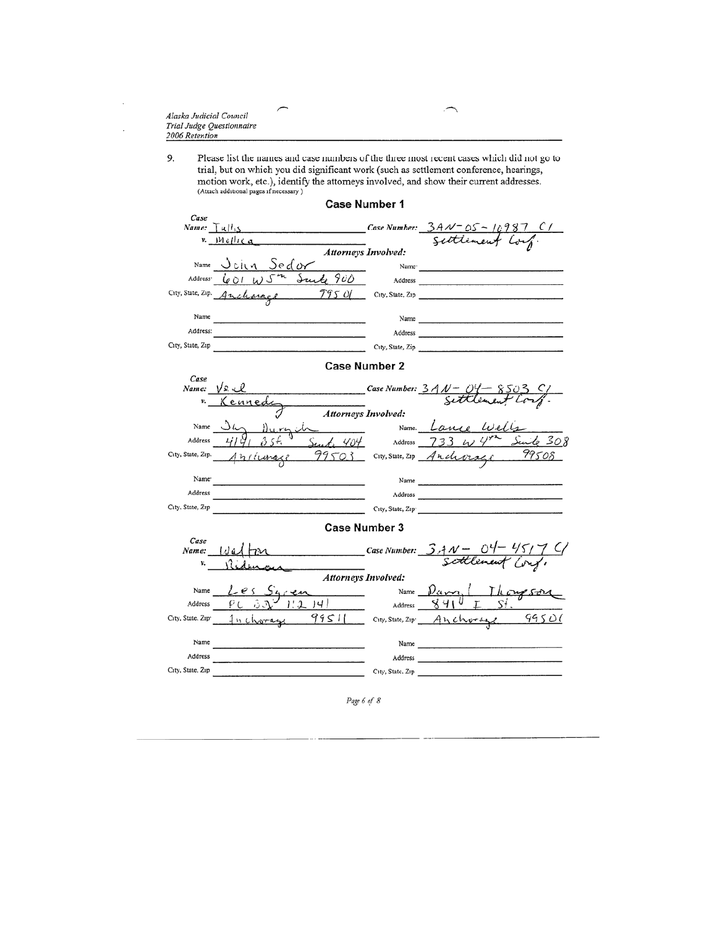| Alaska Judicial Council   |  |
|---------------------------|--|
| Trial Judge Questionnaire |  |
| 2006 Retention            |  |
|                           |  |

 $\cdot$ 

 $\cdot$ 

9. Please list the names and case numbers of the three most recent cases which did not go to trial, but on which you did significant work (such as settlement conference, hearings, motion work, etc.), identify the attorneys involved, and show their current addresses.<br>(Attach additional pages if necessary)

|                               | <b>Case Number 1</b>                  |                          |                                                                                                                                                                                                                                |
|-------------------------------|---------------------------------------|--------------------------|--------------------------------------------------------------------------------------------------------------------------------------------------------------------------------------------------------------------------------|
| Case                          |                                       |                          |                                                                                                                                                                                                                                |
| Name: $T$ $R$ $H_{15}$        |                                       |                          | Case Number: $3A\sqrt{25}$ - 10987 C/                                                                                                                                                                                          |
| v.                            | Mollica<br>Attorneys Involved:        |                          | tlement Cor                                                                                                                                                                                                                    |
| Name                          | John Sedor                            |                          |                                                                                                                                                                                                                                |
|                               |                                       |                          |                                                                                                                                                                                                                                |
| Address <sup>-</sup>          | $601$ W $5$ <sup>m</sup> Sunte 900    | Address                  |                                                                                                                                                                                                                                |
|                               | City, State, Zip. Ancharage<br>7950   |                          | City, State, Zip                                                                                                                                                                                                               |
| Name                          |                                       |                          |                                                                                                                                                                                                                                |
| Address:                      |                                       | Name                     |                                                                                                                                                                                                                                |
| City, State, Zip              |                                       |                          |                                                                                                                                                                                                                                |
|                               |                                       |                          | City, State, Zip                                                                                                                                                                                                               |
|                               | <b>Case Number 2</b>                  |                          |                                                                                                                                                                                                                                |
| Case                          | Name: $\sqrt{x}$ . $\mathcal{U}$      |                          |                                                                                                                                                                                                                                |
|                               | Case Number: 3AN - 04-                |                          |                                                                                                                                                                                                                                |
|                               | <u>Kennedi</u><br>Attorneys Involved: |                          |                                                                                                                                                                                                                                |
| Name                          |                                       |                          | Name. Lance Well                                                                                                                                                                                                               |
| Address                       | Durych                                |                          | Sunt 404 Address $733 \omega$<br>Suite 308                                                                                                                                                                                     |
| City, State, Zip.             |                                       |                          | 99508                                                                                                                                                                                                                          |
|                               | Anriunage                             |                          | 99503 City, State, Zip Anderse                                                                                                                                                                                                 |
| Name <sup>-</sup>             |                                       |                          | Name                                                                                                                                                                                                                           |
| Address                       |                                       |                          |                                                                                                                                                                                                                                |
| City, State, Zip              | $\overline{\phantom{a}}$              |                          | City, State, Zip                                                                                                                                                                                                               |
|                               |                                       |                          |                                                                                                                                                                                                                                |
|                               | <b>Case Number 3</b>                  |                          |                                                                                                                                                                                                                                |
| Case<br>Name:                 | Wall                                  |                          |                                                                                                                                                                                                                                |
| v.                            |                                       |                          | Case Number: $3.4N - 04 - 45/7$ C/                                                                                                                                                                                             |
|                               | Attorneys Involved:                   |                          |                                                                                                                                                                                                                                |
| Name                          |                                       | $\overline{\phantom{a}}$ | Name $\mathcal{V}_{\epsilon k}$ $\mathcal{V}_{\epsilon k}$                                                                                                                                                                     |
| Address                       | ,41                                   | Address                  | ४५।                                                                                                                                                                                                                            |
| City, State, Zip <sup>.</sup> | 1 <i>n</i> charag                     |                          | 99511 City, State, Zip Anchorage 99501                                                                                                                                                                                         |
|                               |                                       |                          |                                                                                                                                                                                                                                |
| Name                          |                                       |                          | Name was a series of the series of the series of the series of the series of the series of the series of the series of the series of the series of the series of the series of the series of the series of the series of the s |
| Address                       |                                       |                          | Address and the contract of the contract of the contract of the contract of the contract of the contract of the                                                                                                                |
| City, State, Zip              |                                       | City, State, Zip         |                                                                                                                                                                                                                                |
|                               |                                       |                          |                                                                                                                                                                                                                                |

Page 6 of 8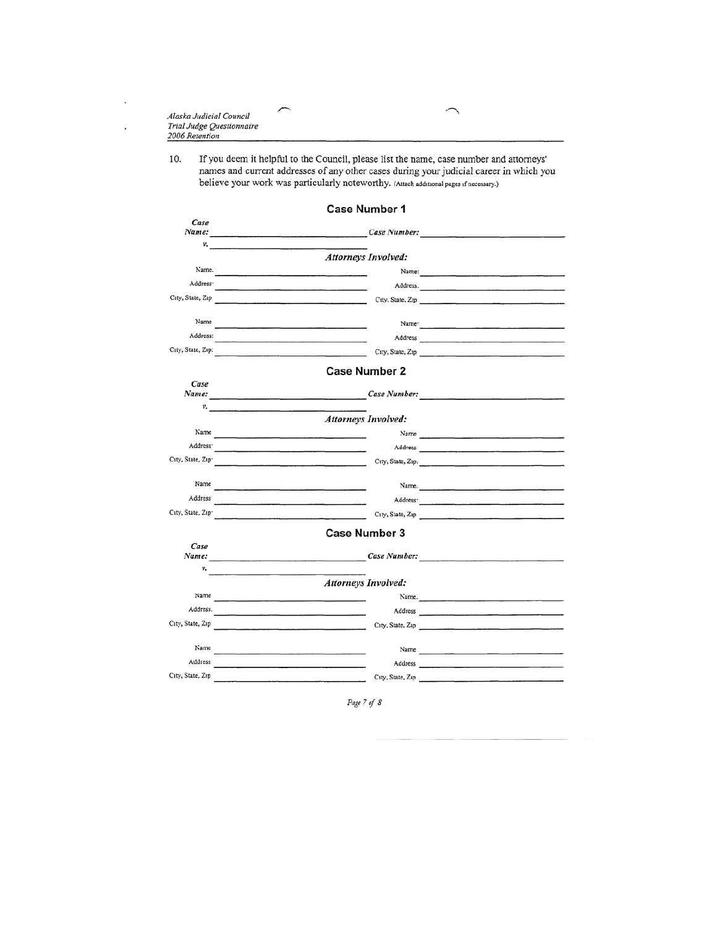| Alaska Judicial Council   |  |
|---------------------------|--|
| Trial Judge Questionnaire |  |
| 2006 Retention            |  |
|                           |  |

÷.

 $\ddot{\phantom{a}}$ 

If you deem it helpful to the Council, please list the name, case number and attorneys' names and current addresses of any other cases during your judicial career in which you 10. believe your work was particularly noteworthy. (Attach additional pages if necessary.)

|                      | <b>Case Number 1</b>                                                                                                                                                                                                                 |                                                                                                                 |
|----------------------|--------------------------------------------------------------------------------------------------------------------------------------------------------------------------------------------------------------------------------------|-----------------------------------------------------------------------------------------------------------------|
| Case                 | Name: Case Number:                                                                                                                                                                                                                   |                                                                                                                 |
|                      | $v_{\bullet}$ and $v_{\bullet}$ are the contract of $v_{\bullet}$                                                                                                                                                                    |                                                                                                                 |
|                      | Attorneys Involved:                                                                                                                                                                                                                  |                                                                                                                 |
| Name.                |                                                                                                                                                                                                                                      | Name: 2008. [2010] 2010 2021 2022 2022 2023 2024 2022 2023 2024 2022 2023 2024 2022 2023 2024 2022 2023 2024 20 |
| Address <sup>-</sup> | the contract of the contract of the contract of the contract of the contract of                                                                                                                                                      | Address.                                                                                                        |
|                      | City, State, Zip City, State, Zip City, State, Zip                                                                                                                                                                                   |                                                                                                                 |
|                      |                                                                                                                                                                                                                                      |                                                                                                                 |
| Name                 |                                                                                                                                                                                                                                      | Name: 2008. 2008. 2009. 2009. 2010. 2010. 2010. 2010. 2010. 2010. 2010. 2010. 2010. 2010. 2010. 2010. 2010. 20  |
| Address:             | the control of the control of the control of the control of the control of                                                                                                                                                           |                                                                                                                 |
| City, State, Zip:    | <u> 1989 - Jan Barnett, fransk politiker (d. 1989)</u>                                                                                                                                                                               | City, State, Zip                                                                                                |
|                      | <b>Case Number 2</b>                                                                                                                                                                                                                 |                                                                                                                 |
| Case                 |                                                                                                                                                                                                                                      |                                                                                                                 |
|                      |                                                                                                                                                                                                                                      |                                                                                                                 |
| v.                   | the contract of the contract of the contract of the contract of<br><b>Attorneys Involved:</b>                                                                                                                                        |                                                                                                                 |
| Name                 |                                                                                                                                                                                                                                      | Name                                                                                                            |
| Address <sup>-</sup> |                                                                                                                                                                                                                                      |                                                                                                                 |
| City, State, Zip-    | the control of the control of the control of the control of the                                                                                                                                                                      | City, State, Zip.                                                                                               |
|                      |                                                                                                                                                                                                                                      |                                                                                                                 |
| Name                 |                                                                                                                                                                                                                                      |                                                                                                                 |
| Address              | the contract of the contract of the contract of the contract of the contract of the contract of the contract of                                                                                                                      |                                                                                                                 |
| City, State, Zip-    |                                                                                                                                                                                                                                      | City, State, Zip                                                                                                |
|                      | <b>Case Number 3</b>                                                                                                                                                                                                                 |                                                                                                                 |
| Case                 |                                                                                                                                                                                                                                      |                                                                                                                 |
| Name:                | Case Number:                                                                                                                                                                                                                         |                                                                                                                 |
| v.                   |                                                                                                                                                                                                                                      |                                                                                                                 |
|                      | <b>Attorneys Involved:</b>                                                                                                                                                                                                           |                                                                                                                 |
| Name                 |                                                                                                                                                                                                                                      | Name.                                                                                                           |
| Address.             | <u> 2001 - Johann Marie Barnett, mars and de la partie de la partie de la partie de la partie de la partie de la</u>                                                                                                                 |                                                                                                                 |
|                      | City, State, Zip                                                                                                                                                                                                                     | City, State, Zip                                                                                                |
| Name                 |                                                                                                                                                                                                                                      |                                                                                                                 |
| Address              | <u> 1989 - Johann Harry Harry Harry Harry Harry Harry Harry Harry Harry Harry Harry Harry Harry Harry Harry Harry Harry Harry Harry Harry Harry Harry Harry Harry Harry Harry Harry Harry Harry Harry Harry Harry Harry Harry Ha</u> |                                                                                                                 |
| City, State, Zip     | the contract of the contract of the contract of the contract of the contract of                                                                                                                                                      | City, State, Zip                                                                                                |
|                      |                                                                                                                                                                                                                                      |                                                                                                                 |

Page 7 of 8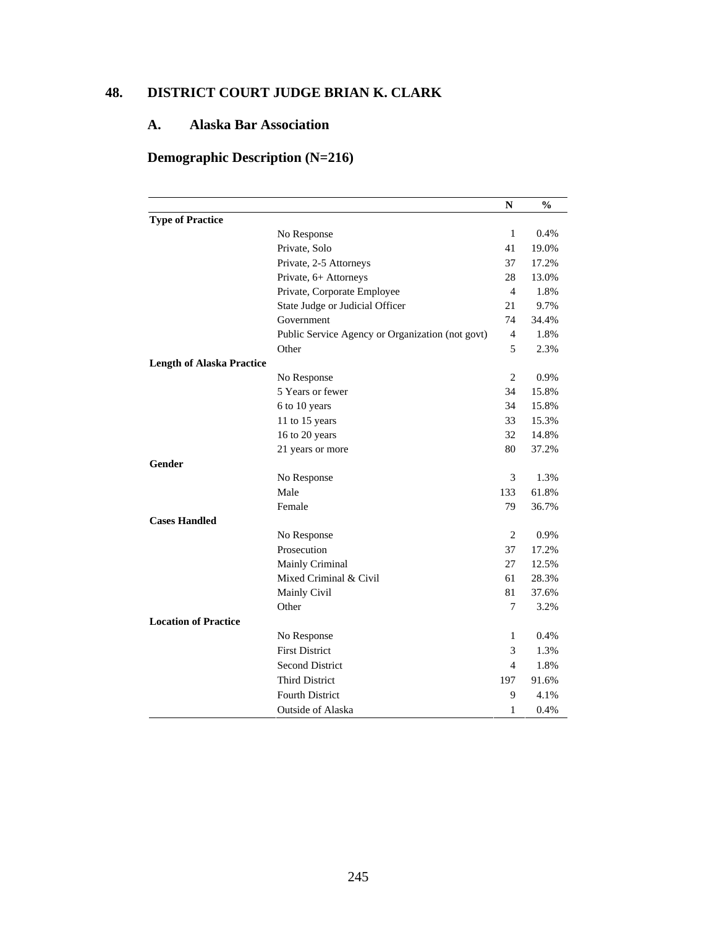## **48. DISTRICT COURT JUDGE BRIAN K. CLARK**

## **A. Alaska Bar Association**

# **Demographic Description (N=216)**

|                                  |                                                                                                                                                                                                                                                                                                                                                                                                                                                                                                                                          | N              | $\frac{0}{0}$ |
|----------------------------------|------------------------------------------------------------------------------------------------------------------------------------------------------------------------------------------------------------------------------------------------------------------------------------------------------------------------------------------------------------------------------------------------------------------------------------------------------------------------------------------------------------------------------------------|----------------|---------------|
| <b>Type of Practice</b>          |                                                                                                                                                                                                                                                                                                                                                                                                                                                                                                                                          |                |               |
|                                  | No Response                                                                                                                                                                                                                                                                                                                                                                                                                                                                                                                              | $\mathbf{1}$   | 0.4%          |
|                                  | Private, Solo                                                                                                                                                                                                                                                                                                                                                                                                                                                                                                                            | 41             | 19.0%         |
|                                  | Private, 2-5 Attorneys<br>Private, 6+ Attorneys<br>Private, Corporate Employee<br>State Judge or Judicial Officer<br>Government<br>Public Service Agency or Organization (not govt)<br>Other<br>No Response<br>5 Years or fewer<br>6 to 10 years<br>11 to 15 years<br>16 to 20 years<br>21 years or more<br>No Response<br>Male<br>Female<br>No Response<br>Prosecution<br>Mainly Criminal<br>Mixed Criminal & Civil<br>Mainly Civil<br>Other<br>No Response<br><b>First District</b><br><b>Second District</b><br><b>Third District</b> |                | 17.2%         |
|                                  |                                                                                                                                                                                                                                                                                                                                                                                                                                                                                                                                          | 28             | 13.0%         |
|                                  |                                                                                                                                                                                                                                                                                                                                                                                                                                                                                                                                          | 4              | 1.8%          |
|                                  |                                                                                                                                                                                                                                                                                                                                                                                                                                                                                                                                          | 21             | 9.7%          |
|                                  |                                                                                                                                                                                                                                                                                                                                                                                                                                                                                                                                          | 74             | 34.4%         |
|                                  |                                                                                                                                                                                                                                                                                                                                                                                                                                                                                                                                          | $\overline{4}$ | 1.8%          |
|                                  |                                                                                                                                                                                                                                                                                                                                                                                                                                                                                                                                          | 5              | 2.3%          |
| <b>Length of Alaska Practice</b> |                                                                                                                                                                                                                                                                                                                                                                                                                                                                                                                                          |                |               |
|                                  |                                                                                                                                                                                                                                                                                                                                                                                                                                                                                                                                          | $\overline{2}$ | 0.9%          |
|                                  |                                                                                                                                                                                                                                                                                                                                                                                                                                                                                                                                          | 34             | 15.8%         |
|                                  |                                                                                                                                                                                                                                                                                                                                                                                                                                                                                                                                          | 34             | 15.8%         |
|                                  |                                                                                                                                                                                                                                                                                                                                                                                                                                                                                                                                          | 33             | 15.3%         |
|                                  |                                                                                                                                                                                                                                                                                                                                                                                                                                                                                                                                          |                | 14.8%         |
|                                  |                                                                                                                                                                                                                                                                                                                                                                                                                                                                                                                                          | 80             | 37.2%         |
| Gender                           |                                                                                                                                                                                                                                                                                                                                                                                                                                                                                                                                          |                |               |
|                                  |                                                                                                                                                                                                                                                                                                                                                                                                                                                                                                                                          | 3              | 1.3%          |
|                                  |                                                                                                                                                                                                                                                                                                                                                                                                                                                                                                                                          | 133            | 61.8%         |
|                                  |                                                                                                                                                                                                                                                                                                                                                                                                                                                                                                                                          | 79             | 36.7%         |
| <b>Cases Handled</b>             |                                                                                                                                                                                                                                                                                                                                                                                                                                                                                                                                          |                |               |
|                                  |                                                                                                                                                                                                                                                                                                                                                                                                                                                                                                                                          | 2              | 0.9%          |
|                                  |                                                                                                                                                                                                                                                                                                                                                                                                                                                                                                                                          | 37             | 17.2%         |
|                                  |                                                                                                                                                                                                                                                                                                                                                                                                                                                                                                                                          | 27             | 12.5%         |
|                                  |                                                                                                                                                                                                                                                                                                                                                                                                                                                                                                                                          | 61             | 28.3%         |
|                                  |                                                                                                                                                                                                                                                                                                                                                                                                                                                                                                                                          | 81             | 37.6%         |
|                                  |                                                                                                                                                                                                                                                                                                                                                                                                                                                                                                                                          | 7              | 3.2%          |
| <b>Location of Practice</b>      |                                                                                                                                                                                                                                                                                                                                                                                                                                                                                                                                          |                |               |
|                                  |                                                                                                                                                                                                                                                                                                                                                                                                                                                                                                                                          | 1              | 0.4%          |
|                                  |                                                                                                                                                                                                                                                                                                                                                                                                                                                                                                                                          | 3              | 1.3%          |
|                                  |                                                                                                                                                                                                                                                                                                                                                                                                                                                                                                                                          | 4              | 1.8%          |
|                                  |                                                                                                                                                                                                                                                                                                                                                                                                                                                                                                                                          | 197            | 91.6%         |
|                                  | <b>Fourth District</b>                                                                                                                                                                                                                                                                                                                                                                                                                                                                                                                   | 9              | 4.1%          |
|                                  | <b>Outside of Alaska</b>                                                                                                                                                                                                                                                                                                                                                                                                                                                                                                                 | 1              | 0.4%          |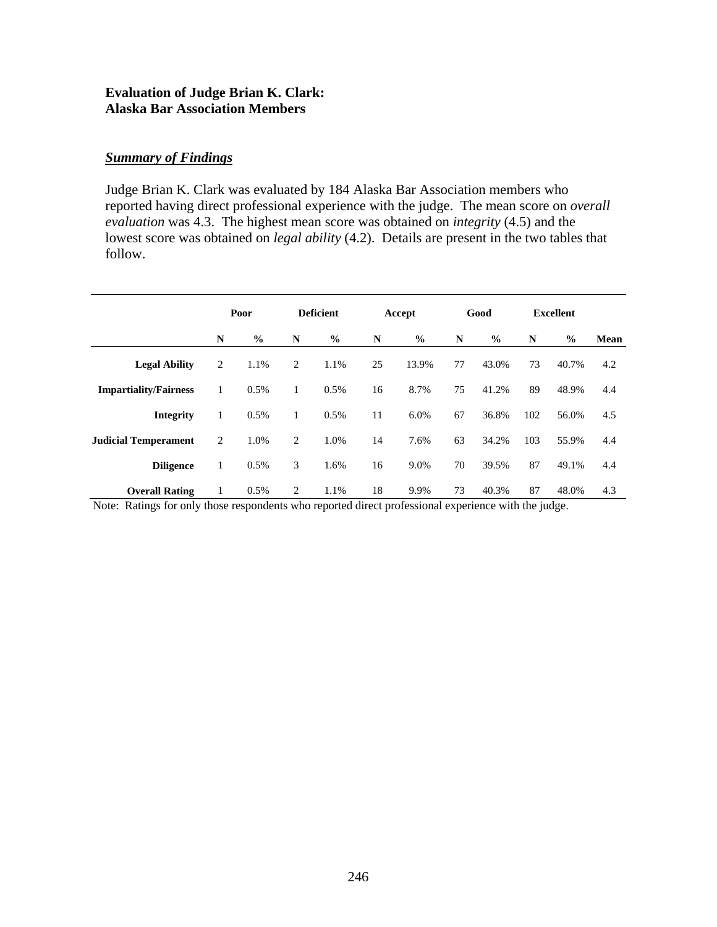#### **Evaluation of Judge Brian K. Clark: Alaska Bar Association Members**

#### *Summary of Findings*

Judge Brian K. Clark was evaluated by 184 Alaska Bar Association members who reported having direct professional experience with the judge. The mean score on *overall evaluation* was 4.3. The highest mean score was obtained on *integrity* (4.5) and the lowest score was obtained on *legal ability* (4.2). Details are present in the two tables that follow.

|                              |   | Poor          |   | <b>Deficient</b> |    | Accept        |    | Good          |     | <b>Excellent</b> |      |
|------------------------------|---|---------------|---|------------------|----|---------------|----|---------------|-----|------------------|------|
|                              | N | $\frac{0}{0}$ | N | $\frac{0}{0}$    | N  | $\frac{0}{0}$ | N  | $\frac{0}{0}$ | N   | $\frac{0}{0}$    | Mean |
| <b>Legal Ability</b>         | 2 | 1.1%          | 2 | 1.1%             | 25 | 13.9%         | 77 | 43.0%         | 73  | 40.7%            | 4.2  |
| <b>Impartiality/Fairness</b> | 1 | 0.5%          | 1 | 0.5%             | 16 | 8.7%          | 75 | 41.2%         | 89  | 48.9%            | 4.4  |
| <b>Integrity</b>             | 1 | 0.5%          | 1 | 0.5%             | 11 | 6.0%          | 67 | 36.8%         | 102 | 56.0%            | 4.5  |
| <b>Judicial Temperament</b>  | 2 | 1.0%          | 2 | 1.0%             | 14 | 7.6%          | 63 | 34.2%         | 103 | 55.9%            | 4.4  |
| <b>Diligence</b>             | 1 | 0.5%          | 3 | 1.6%             | 16 | 9.0%          | 70 | 39.5%         | 87  | 49.1%            | 4.4  |
| <b>Overall Rating</b>        | 1 | 0.5%          | 2 | 1.1%             | 18 | 9.9%          | 73 | 40.3%         | 87  | 48.0%            | 4.3  |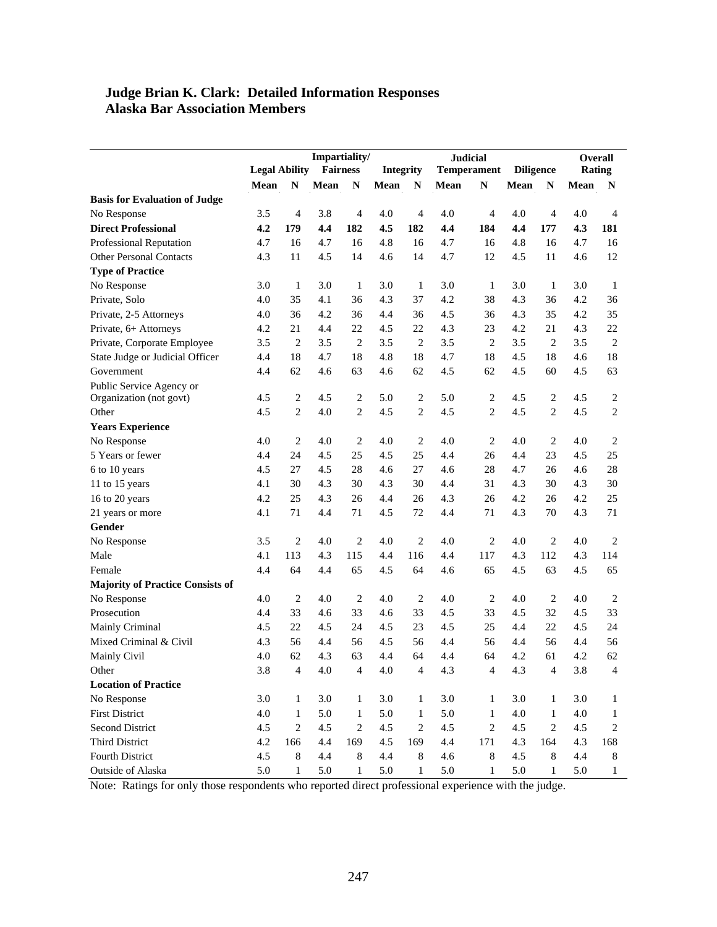#### **Judge Brian K. Clark: Detailed Information Responses Alaska Bar Association Members**

|                                         |                      |                | Impartiality/                |                |         |                |                    | <b>Judicial</b>  |         |                | <b>Overall</b> |                |
|-----------------------------------------|----------------------|----------------|------------------------------|----------------|---------|----------------|--------------------|------------------|---------|----------------|----------------|----------------|
|                                         | <b>Legal Ability</b> |                | <b>Fairness</b><br>Integrity |                |         |                | <b>Temperament</b> | <b>Diligence</b> |         | Rating         |                |                |
|                                         | Mean                 | $\mathbb{N}$   | Mean                         | N              | Mean    | N              | Mean               | $\mathbb{N}$     | Mean    | $\mathbb{N}$   | Mean           | N              |
| <b>Basis for Evaluation of Judge</b>    |                      |                |                              |                |         |                |                    |                  |         |                |                |                |
| No Response                             | 3.5                  | $\overline{4}$ | 3.8                          | 4              | 4.0     | $\overline{4}$ | 4.0                | $\overline{4}$   | 4.0     | $\overline{4}$ | 4.0            | $\overline{4}$ |
| <b>Direct Professional</b>              | 4.2                  | 179            | 4.4                          | 182            | 4.5     | 182            | 4.4                | 184              | 4.4     | 177            | 4.3            | 181            |
| Professional Reputation                 | 4.7                  | 16             | 4.7                          | 16             | 4.8     | 16             | 4.7                | 16               | 4.8     | 16             | 4.7            | 16             |
| <b>Other Personal Contacts</b>          | 4.3                  | 11             | 4.5                          | 14             | 4.6     | 14             | 4.7                | 12               | 4.5     | 11             | 4.6            | 12             |
| <b>Type of Practice</b>                 |                      |                |                              |                |         |                |                    |                  |         |                |                |                |
| No Response                             | 3.0                  | 1              | 3.0                          | 1              | 3.0     | 1              | 3.0                | 1                | 3.0     | 1              | 3.0            | 1              |
| Private, Solo                           | 4.0                  | 35             | 4.1                          | 36             | 4.3     | 37             | 4.2                | 38               | 4.3     | 36             | 4.2            | 36             |
| Private, 2-5 Attorneys                  | 4.0                  | 36             | 4.2                          | 36             | 4.4     | 36             | 4.5                | 36               | 4.3     | 35             | 4.2            | 35             |
| Private, 6+ Attorneys                   | 4.2                  | 21             | 4.4                          | 22             | 4.5     | 22             | 4.3                | 23               | 4.2     | 21             | 4.3            | 22             |
| Private, Corporate Employee             | 3.5                  | $\sqrt{2}$     | 3.5                          | $\overline{c}$ | 3.5     | $\overline{2}$ | 3.5                | $\overline{2}$   | 3.5     | 2              | 3.5            | $\overline{c}$ |
| State Judge or Judicial Officer         | 4.4                  | 18             | 4.7                          | 18             | 4.8     | 18             | 4.7                | 18               | 4.5     | 18             | 4.6            | 18             |
| Government                              | 4.4                  | 62             | 4.6                          | 63             | 4.6     | 62             | 4.5                | 62               | 4.5     | 60             | 4.5            | 63             |
| Public Service Agency or                |                      |                |                              |                |         |                |                    |                  |         |                |                |                |
| Organization (not govt)                 | 4.5                  | $\overline{2}$ | 4.5                          | 2              | 5.0     | 2              | 5.0                | 2                | 4.5     | 2              | 4.5            | 2              |
| Other                                   | 4.5                  | $\overline{2}$ | 4.0                          | $\overline{c}$ | 4.5     | $\overline{c}$ | 4.5                | $\overline{c}$   | 4.5     | $\overline{c}$ | 4.5            | 2              |
| <b>Years Experience</b>                 |                      |                |                              |                |         |                |                    |                  |         |                |                |                |
| No Response                             | 4.0                  | $\mathbf{2}$   | 4.0                          | 2              | 4.0     | 2              | 4.0                | $\overline{c}$   | 4.0     | 2              | 4.0            | $\overline{c}$ |
| 5 Years or fewer                        | 4.4                  | 24             | 4.5                          | 25             | 4.5     | 25             | 4.4                | 26               | 4.4     | 23             | 4.5            | 25             |
| 6 to 10 years                           | 4.5                  | 27             | 4.5                          | 28             | 4.6     | 27             | 4.6                | 28               | 4.7     | 26             | 4.6            | 28             |
| 11 to 15 years                          | 4.1                  | 30             | 4.3                          | 30             | 4.3     | 30             | 4.4                | 31               | 4.3     | 30             | 4.3            | 30             |
| 16 to 20 years                          | 4.2                  | 25             | 4.3                          | 26             | 4.4     | 26             | 4.3                | 26               | 4.2     | 26             | 4.2            | 25             |
| 21 years or more                        | 4.1                  | 71             | 4.4                          | 71             | 4.5     | 72             | 4.4                | 71               | 4.3     | 70             | 4.3            | 71             |
| Gender                                  |                      |                |                              |                |         |                |                    |                  |         |                |                |                |
| No Response                             | 3.5                  | $\mathbf{2}$   | 4.0                          | 2              | 4.0     | 2              | 4.0                | $\overline{2}$   | 4.0     | $\overline{c}$ | 4.0            | $\overline{2}$ |
| Male                                    | 4.1                  | 113            | 4.3                          | 115            | 4.4     | 116            | 4.4                | 117              | 4.3     | 112            | 4.3            | 114            |
| Female                                  | 4.4                  | 64             | 4.4                          | 65             | 4.5     | 64             | 4.6                | 65               | 4.5     | 63             | 4.5            | 65             |
| <b>Majority of Practice Consists of</b> |                      |                |                              |                |         |                |                    |                  |         |                |                |                |
| No Response                             | 4.0                  | $\overline{2}$ | 4.0                          | 2              | 4.0     | 2              | 4.0                | $\overline{c}$   | 4.0     | 2              | 4.0            | $\overline{c}$ |
| Prosecution                             | 4.4                  | 33             | 4.6                          | 33             | 4.6     | 33             | 4.5                | 33               | 4.5     | 32             | 4.5            | 33             |
| Mainly Criminal                         | 4.5                  | 22             | 4.5                          | 24             | 4.5     | 23             | 4.5                | 25               | 4.4     | 22             | 4.5            | 24             |
| Mixed Criminal & Civil                  | 4.3                  | 56             | 4.4                          | 56             | 4.5     | 56             | 4.4                | 56               | 4.4     | 56             | 4.4            | 56             |
| Mainly Civil                            | 4.0                  | 62             | 4.3                          | 63             | 4.4     | 64             | 4.4                | 64               | 4.2     | 61             | 4.2            | 62             |
| Other                                   | $3.8\,$              | $\overline{4}$ | $4.0\,$                      | $\overline{4}$ | 4.0     | $\overline{4}$ | 4.3                | 4                | 4.3     | $\overline{4}$ | 3.8            | 4              |
| <b>Location of Practice</b>             |                      |                |                              |                |         |                |                    |                  |         |                |                |                |
| No Response                             | 3.0                  | $\mathbf{1}$   | 3.0                          | 1              | $3.0\,$ | 1              | 3.0                | $\mathbf{1}$     | 3.0     | $\mathbf{1}$   | 3.0            | $\mathbf{1}$   |
| <b>First District</b>                   | 4.0                  | $\mathbf{1}$   | 5.0                          | $\mathbf{1}$   | 5.0     | $\mathbf{1}$   | $5.0\,$            | $\mathbf{1}$     | 4.0     | $\mathbf{1}$   | 4.0            | $\mathbf{1}$   |
| Second District                         | 4.5                  | $\mathbf{2}$   | 4.5                          | 2              | 4.5     | $\overline{c}$ | 4.5                | $\boldsymbol{2}$ | 4.5     | 2              | 4.5            | $\overline{c}$ |
| <b>Third District</b>                   | 4.2                  | 166            | 4.4                          | 169            | 4.5     | 169            | 4.4                | 171              | 4.3     | 164            | 4.3            | 168            |
| Fourth District                         | 4.5                  | $\,8\,$        | 4.4                          | $8\,$          | 4.4     | 8              | 4.6                | 8                | 4.5     | $\,8\,$        | 4.4            | $\,8\,$        |
| Outside of Alaska                       | 5.0                  | $\mathbf{1}$   | 5.0                          | $\mathbf{1}$   | 5.0     | $\mathbf{1}$   | 5.0                | $\mathbf{1}$     | $5.0\,$ | $\mathbf{1}$   | 5.0            | $\mathbf{1}$   |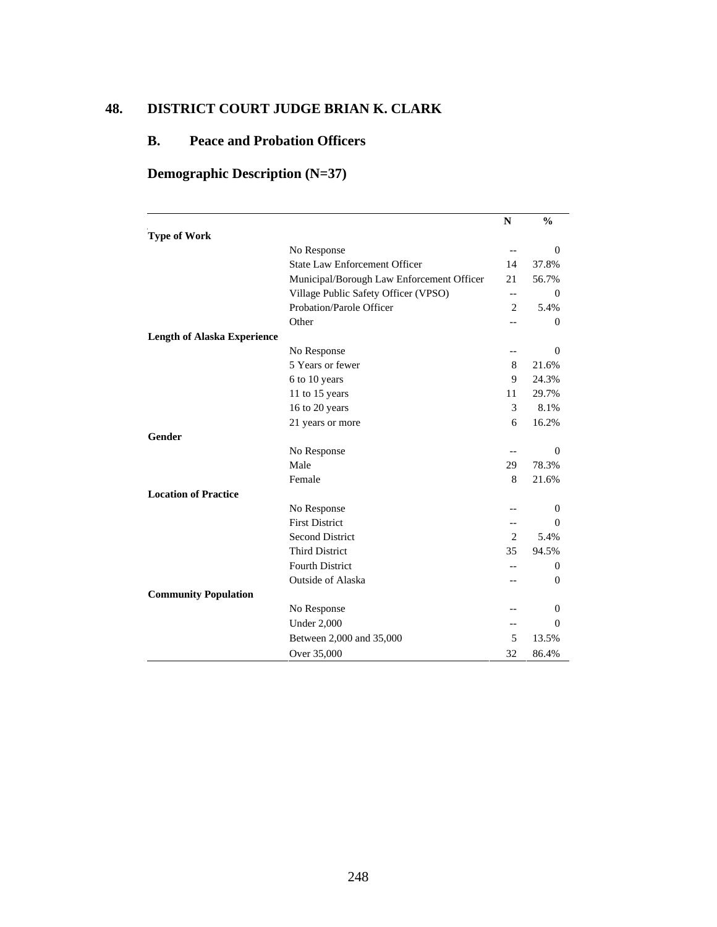## **48. DISTRICT COURT JUDGE BRIAN K. CLARK**

## **B. Peace and Probation Officers**

## **Demographic Description (N=37)**

|                                    |                                           | N                 | $\frac{0}{0}$ |
|------------------------------------|-------------------------------------------|-------------------|---------------|
| <b>Type of Work</b>                |                                           |                   |               |
|                                    | No Response                               | $\qquad \qquad -$ | $\mathbf{0}$  |
|                                    | <b>State Law Enforcement Officer</b>      | 14                | 37.8%         |
|                                    | Municipal/Borough Law Enforcement Officer | 21                | 56.7%         |
|                                    | Village Public Safety Officer (VPSO)      | $\qquad \qquad -$ | $\Omega$      |
|                                    | Probation/Parole Officer                  | $\overline{c}$    | 5.4%          |
|                                    | Other                                     | $-$               | $\Omega$      |
| <b>Length of Alaska Experience</b> |                                           |                   |               |
|                                    | No Response                               | --                | $\Omega$      |
|                                    | 5 Years or fewer                          | 8                 | 21.6%         |
|                                    | 6 to 10 years                             | 9                 | 24.3%         |
|                                    | 11 to 15 years                            | 11                | 29.7%         |
|                                    | 16 to 20 years                            | 3                 | 8.1%          |
|                                    | 21 years or more                          | 6                 | 16.2%         |
| Gender                             |                                           |                   |               |
|                                    | No Response                               |                   | $\Omega$      |
|                                    | Male                                      | 29                | 78.3%         |
|                                    | Female                                    | 8                 | 21.6%         |
| <b>Location of Practice</b>        |                                           |                   |               |
|                                    | No Response                               |                   | 0             |
|                                    | <b>First District</b>                     | $-$               | $\Omega$      |
|                                    | <b>Second District</b>                    | 2                 | 5.4%          |
|                                    | <b>Third District</b>                     | 35                | 94.5%         |
|                                    | <b>Fourth District</b>                    |                   | $\theta$      |
|                                    | Outside of Alaska                         |                   | 0             |
| <b>Community Population</b>        |                                           |                   |               |
|                                    | No Response                               | --                | $\mathbf{0}$  |
|                                    | <b>Under 2,000</b>                        | --                | $\Omega$      |
|                                    | Between 2,000 and 35,000                  | 5                 | 13.5%         |
|                                    | Over 35,000                               | 32                | 86.4%         |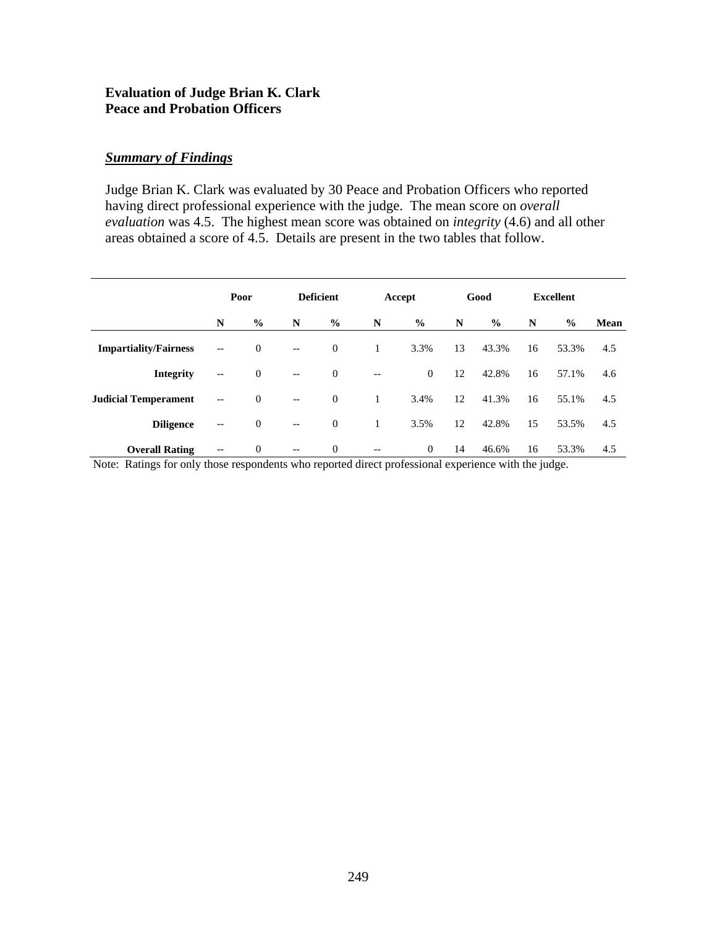#### **Evaluation of Judge Brian K. Clark Peace and Probation Officers**

## *Summary of Findings*

Judge Brian K. Clark was evaluated by 30 Peace and Probation Officers who reported having direct professional experience with the judge. The mean score on *overall evaluation* was 4.5. The highest mean score was obtained on *integrity* (4.6) and all other areas obtained a score of 4.5. Details are present in the two tables that follow.

|                              | Poor                                                |                  | <b>Deficient</b>         |                  |                   | Accept         |    | Good          | <b>Excellent</b> |       |      |  |
|------------------------------|-----------------------------------------------------|------------------|--------------------------|------------------|-------------------|----------------|----|---------------|------------------|-------|------|--|
|                              | N                                                   | $\frac{0}{0}$    | N                        | $\%$             | N                 | $\frac{6}{9}$  | N  | $\frac{6}{6}$ | N                | $\%$  | Mean |  |
| <b>Impartiality/Fairness</b> | $-\,-$                                              | $\overline{0}$   | $-$                      | $\boldsymbol{0}$ | 1                 | 3.3%           | 13 | 43.3%         | 16               | 53.3% | 4.5  |  |
| Integrity                    | $\overline{\phantom{m}}$                            | $\overline{0}$   | $-$                      | $\mathbf{0}$     | $\qquad \qquad -$ | $\mathbf{0}$   | 12 | 42.8%         | 16               | 57.1% | 4.6  |  |
| <b>Judicial Temperament</b>  | $\hspace{0.05cm} -\hspace{0.05cm} -\hspace{0.05cm}$ | $\overline{0}$   | $\overline{\phantom{m}}$ | $\mathbf{0}$     | 1                 | 3.4%           | 12 | 41.3%         | 16               | 55.1% | 4.5  |  |
| <b>Diligence</b>             | $\overline{\phantom{m}}$                            | $\boldsymbol{0}$ | $\overline{\phantom{a}}$ | $\mathbf{0}$     | 1                 | 3.5%           | 12 | 42.8%         | 15               | 53.5% | 4.5  |  |
| <b>Overall Rating</b>        | $\hspace{0.05cm} -\hspace{0.05cm} -\hspace{0.05cm}$ | $\boldsymbol{0}$ | $\qquad \qquad -$        | $\boldsymbol{0}$ | $\qquad \qquad -$ | $\overline{0}$ | 14 | 46.6%         | 16               | 53.3% | 4.5  |  |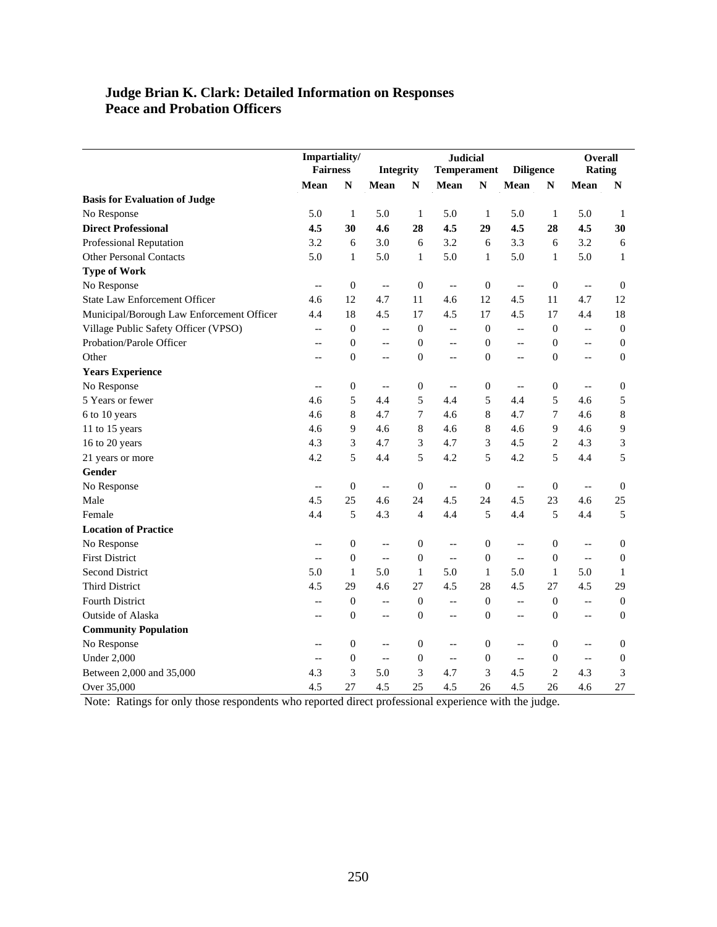#### **Judge Brian K. Clark: Detailed Information on Responses Peace and Probation Officers**

|                                           | Impartiality/<br><b>Fairness</b> |                  | Integrity                |                  | <b>Judicial</b><br><b>Temperament</b> |                  | <b>Diligence</b>         |                  | <b>Overall</b><br>Rating                            |                  |
|-------------------------------------------|----------------------------------|------------------|--------------------------|------------------|---------------------------------------|------------------|--------------------------|------------------|-----------------------------------------------------|------------------|
|                                           | Mean                             | ${\bf N}$        | Mean                     | ${\bf N}$        | Mean                                  | ${\bf N}$        | Mean                     | ${\bf N}$        | Mean                                                | N                |
| <b>Basis for Evaluation of Judge</b>      |                                  |                  |                          |                  |                                       |                  |                          |                  |                                                     |                  |
| No Response                               | 5.0                              | $\mathbf{1}$     | 5.0                      | 1                | 5.0                                   | 1                | 5.0                      | 1                | 5.0                                                 | 1                |
| <b>Direct Professional</b>                | 4.5                              | 30               | 4.6                      | 28               | 4.5                                   | 29               | 4.5                      | 28               | 4.5                                                 | 30               |
| <b>Professional Reputation</b>            | 3.2                              | 6                | 3.0                      | 6                | 3.2                                   | 6                | 3.3                      | 6                | 3.2                                                 | 6                |
| <b>Other Personal Contacts</b>            | 5.0                              | $\mathbf{1}$     | 5.0                      | $\mathbf{1}$     | 5.0                                   | $\mathbf{1}$     | 5.0                      | $\mathbf{1}$     | 5.0                                                 | $\mathbf{1}$     |
| <b>Type of Work</b>                       |                                  |                  |                          |                  |                                       |                  |                          |                  |                                                     |                  |
| No Response                               | $\overline{\phantom{m}}$         | $\boldsymbol{0}$ | $\overline{\phantom{a}}$ | $\mathbf{0}$     | $-$                                   | $\boldsymbol{0}$ | $\overline{\phantom{a}}$ | $\boldsymbol{0}$ | $\overline{\phantom{a}}$                            | $\mathbf{0}$     |
| <b>State Law Enforcement Officer</b>      | 4.6                              | 12               | 4.7                      | 11               | 4.6                                   | 12               | 4.5                      | 11               | 4.7                                                 | 12               |
| Municipal/Borough Law Enforcement Officer | 4.4                              | 18               | 4.5                      | 17               | 4.5                                   | 17               | 4.5                      | 17               | 4.4                                                 | 18               |
| Village Public Safety Officer (VPSO)      | $-$                              | $\boldsymbol{0}$ | $\overline{a}$           | $\overline{0}$   | $\overline{\phantom{a}}$              | $\overline{0}$   | $\overline{\phantom{a}}$ | $\boldsymbol{0}$ | $\overline{\phantom{a}}$                            | $\theta$         |
| Probation/Parole Officer                  | $-$                              | $\boldsymbol{0}$ | $-$                      | $\mathbf{0}$     | $\overline{\phantom{a}}$              | $\boldsymbol{0}$ | $\sim$                   | $\boldsymbol{0}$ | $-$                                                 | $\boldsymbol{0}$ |
| Other                                     | $\overline{a}$                   | $\boldsymbol{0}$ | $-$                      | $\mathbf{0}$     | $-$                                   | $\mathbf{0}$     | $\equiv$                 | $\boldsymbol{0}$ | $-$                                                 | $\boldsymbol{0}$ |
| <b>Years Experience</b>                   |                                  |                  |                          |                  |                                       |                  |                          |                  |                                                     |                  |
| No Response                               | $-\, -$                          | $\boldsymbol{0}$ | $\overline{\phantom{a}}$ | $\boldsymbol{0}$ | $\overline{\phantom{a}}$              | $\boldsymbol{0}$ | $\overline{\phantom{a}}$ | $\boldsymbol{0}$ | $\overline{\phantom{a}}$                            | $\boldsymbol{0}$ |
| 5 Years or fewer                          | 4.6                              | 5                | 4.4                      | 5                | 4.4                                   | 5                | 4.4                      | 5                | 4.6                                                 | 5                |
| 6 to 10 years                             | 4.6                              | 8                | 4.7                      | $\overline{7}$   | 4.6                                   | 8                | 4.7                      | 7                | 4.6                                                 | 8                |
| 11 to 15 years                            | 4.6                              | 9                | 4.6                      | $\,8\,$          | 4.6                                   | 8                | 4.6                      | 9                | 4.6                                                 | 9                |
| 16 to 20 years                            | 4.3                              | 3                | 4.7                      | 3                | 4.7                                   | 3                | 4.5                      | $\sqrt{2}$       | 4.3                                                 | 3                |
| 21 years or more                          | 4.2                              | 5                | 4.4                      | 5                | 4.2                                   | 5                | 4.2                      | 5                | 4.4                                                 | 5                |
| Gender                                    |                                  |                  |                          |                  |                                       |                  |                          |                  |                                                     |                  |
| No Response                               | $\overline{\phantom{a}}$         | $\boldsymbol{0}$ | $\qquad \qquad -$        | $\overline{0}$   | $\overline{\phantom{a}}$              | $\boldsymbol{0}$ | $\overline{\phantom{a}}$ | $\mathbf{0}$     | $\overline{\phantom{a}}$                            | $\boldsymbol{0}$ |
| Male                                      | 4.5                              | 25               | 4.6                      | 24               | 4.5                                   | 24               | 4.5                      | 23               | 4.6                                                 | 25               |
| Female                                    | 4.4                              | 5                | 4.3                      | $\overline{4}$   | 4.4                                   | 5                | 4.4                      | 5                | 4.4                                                 | 5                |
| <b>Location of Practice</b>               |                                  |                  |                          |                  |                                       |                  |                          |                  |                                                     |                  |
| No Response                               | $\overline{\phantom{a}}$         | $\boldsymbol{0}$ | $\overline{a}$           | $\boldsymbol{0}$ | $\overline{a}$                        | $\boldsymbol{0}$ | $\overline{\phantom{a}}$ | $\boldsymbol{0}$ | $\overline{\phantom{a}}$                            | $\boldsymbol{0}$ |
| <b>First District</b>                     | $\overline{\phantom{m}}$         | $\boldsymbol{0}$ | $\overline{\phantom{a}}$ | $\boldsymbol{0}$ | $\overline{\phantom{a}}$              | $\boldsymbol{0}$ | $\overline{a}$           | $\boldsymbol{0}$ | $\hspace{0.05cm} -\hspace{0.05cm} -\hspace{0.05cm}$ | $\mathbf{0}$     |
| <b>Second District</b>                    | 5.0                              | 1                | 5.0                      | $\mathbf{1}$     | 5.0                                   | 1                | 5.0                      | 1                | 5.0                                                 | 1                |
| <b>Third District</b>                     | 4.5                              | 29               | 4.6                      | 27               | 4.5                                   | 28               | 4.5                      | 27               | 4.5                                                 | 29               |
| Fourth District                           | $-$                              | $\boldsymbol{0}$ | $-$                      | $\boldsymbol{0}$ | $-$                                   | $\boldsymbol{0}$ | $\overline{\phantom{a}}$ | $\boldsymbol{0}$ | $\overline{\phantom{a}}$                            | $\mathbf{0}$     |
| Outside of Alaska                         | $-$                              | $\boldsymbol{0}$ | $-$                      | $\mathbf{0}$     | $\overline{\phantom{a}}$              | $\boldsymbol{0}$ | $\equiv$                 | $\boldsymbol{0}$ | $-$                                                 | $\boldsymbol{0}$ |
| <b>Community Population</b>               |                                  |                  |                          |                  |                                       |                  |                          |                  |                                                     |                  |
| No Response                               | $- -$                            | $\boldsymbol{0}$ | $-\,-$                   | $\boldsymbol{0}$ | $\overline{\phantom{a}}$              | $\boldsymbol{0}$ | $\qquad \qquad -$        | $\boldsymbol{0}$ | $\overline{\phantom{a}}$                            | $\boldsymbol{0}$ |
| <b>Under 2,000</b>                        | $-\hbox{--}$                     | $\boldsymbol{0}$ | $\overline{\phantom{a}}$ | $\mathbf{0}$     | $\overline{\phantom{a}}$              | $\boldsymbol{0}$ | $\overline{\phantom{a}}$ | $\boldsymbol{0}$ | $\overline{\phantom{a}}$                            | $\boldsymbol{0}$ |
| Between 2,000 and 35,000                  | 4.3                              | 3                | 5.0                      | 3                | 4.7                                   | 3                | 4.5                      | $\overline{c}$   | 4.3                                                 | 3                |
| Over 35,000                               | 4.5                              | 27               | 4.5                      | 25               | 4.5                                   | 26               | 4.5                      | 26               | 4.6                                                 | 27               |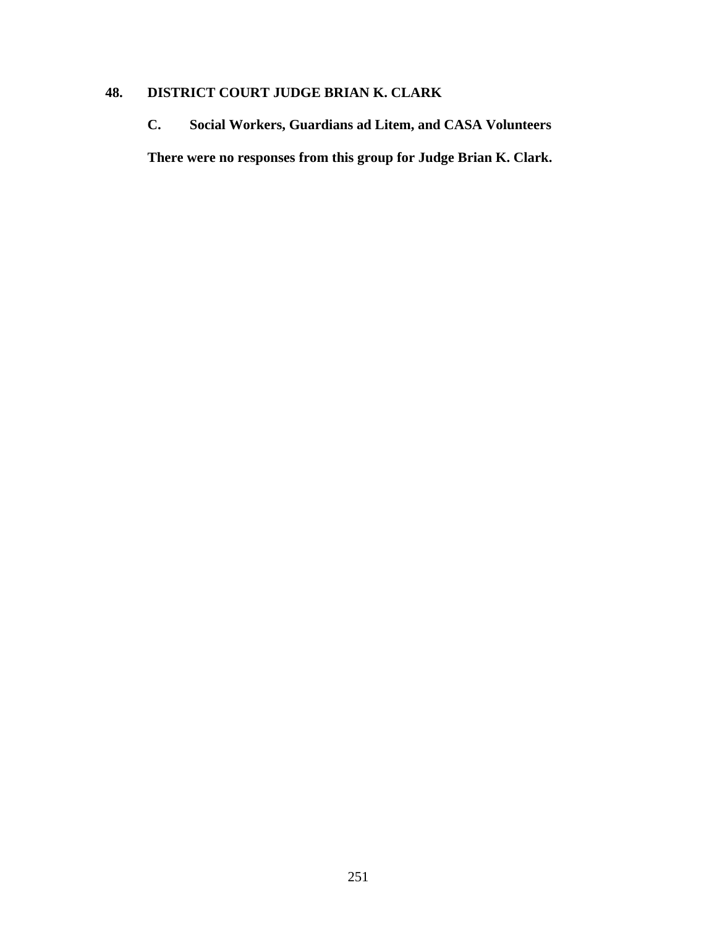## **48. DISTRICT COURT JUDGE BRIAN K. CLARK**

**C. Social Workers, Guardians ad Litem, and CASA Volunteers There were no responses from this group for Judge Brian K. Clark.**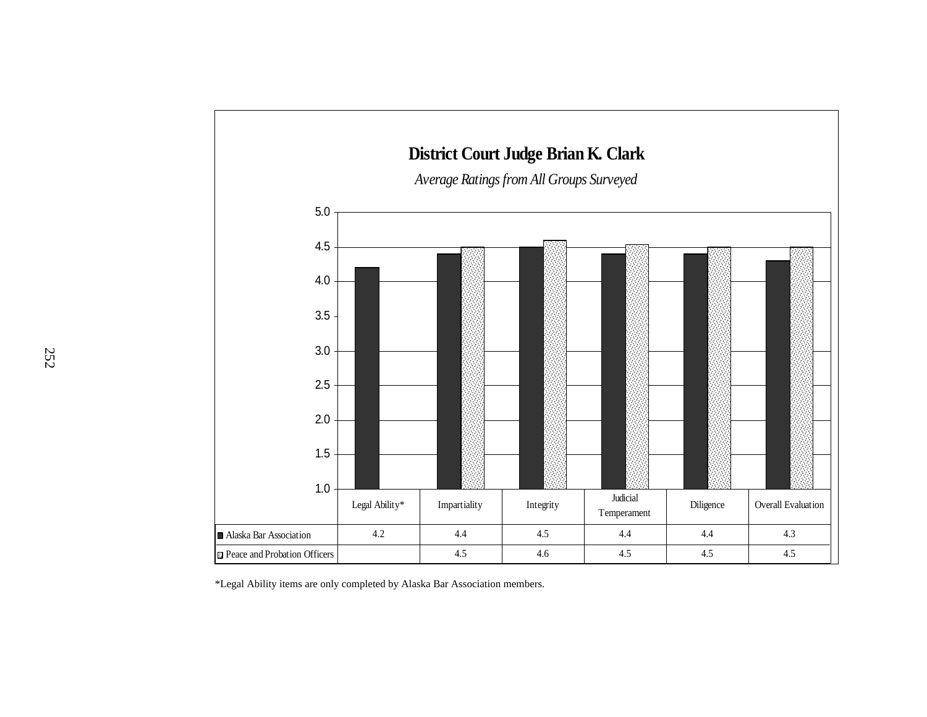

\*Legal Ability items are only completed by Alaska Bar Association members.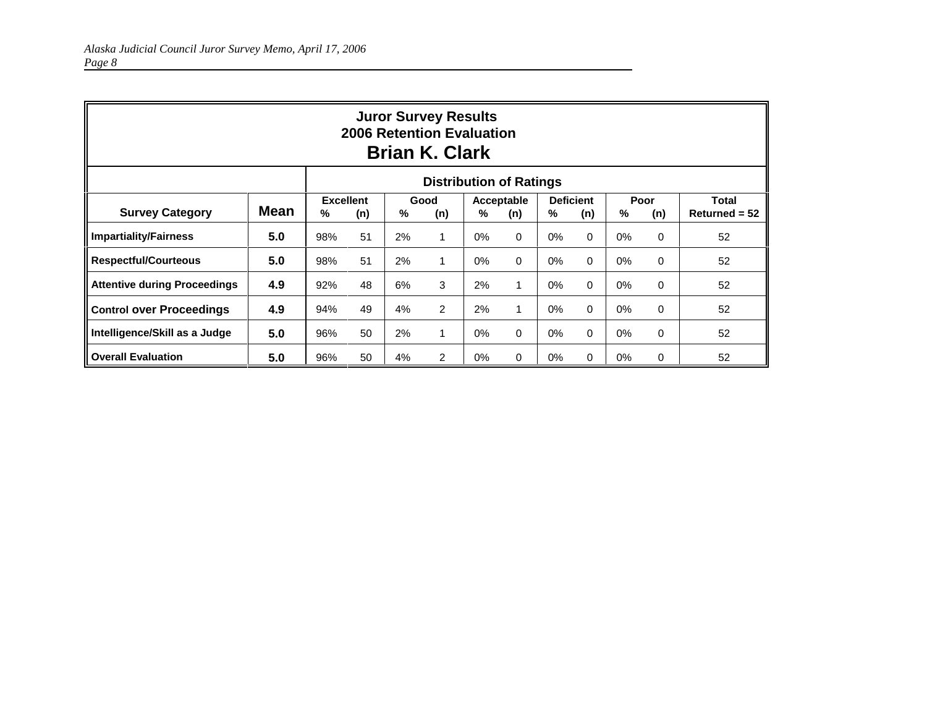| <b>Juror Survey Results</b><br>2006 Retention Evaluation<br><b>Brian K. Clark</b> |             |                                                                                                                                                |    |    |                |       |          |       |          |    |                 |    |
|-----------------------------------------------------------------------------------|-------------|------------------------------------------------------------------------------------------------------------------------------------------------|----|----|----------------|-------|----------|-------|----------|----|-----------------|----|
| <b>Distribution of Ratings</b>                                                    |             |                                                                                                                                                |    |    |                |       |          |       |          |    |                 |    |
| <b>Survey Category</b>                                                            | <b>Mean</b> | <b>Excellent</b><br><b>Deficient</b><br>Poor<br><b>Total</b><br>Good<br>Acceptable<br>%<br>%<br>%<br>%<br>(n)<br>(n)<br>%<br>(n)<br>(n)<br>(n) |    |    |                |       |          |       |          |    | $Returned = 52$ |    |
| <b>Impartiality/Fairness</b>                                                      | 5.0         | 98%                                                                                                                                            | 51 | 2% | $\mathbf 1$    | $0\%$ | $\Omega$ | $0\%$ | $\Omega$ | 0% | $\Omega$        | 52 |
| <b>Respectful/Courteous</b>                                                       | 5.0         | 98%                                                                                                                                            | 51 | 2% | 1              | $0\%$ | $\Omega$ | $0\%$ | $\Omega$ | 0% | $\Omega$        | 52 |
| <b>Attentive during Proceedings</b>                                               | 4.9         | 92%                                                                                                                                            | 48 | 6% | 3              | 2%    | 1        | 0%    | $\Omega$ | 0% | $\Omega$        | 52 |
| <b>Control over Proceedings</b>                                                   | 4.9         | 94%                                                                                                                                            | 49 | 4% | $\overline{2}$ | 2%    |          | $0\%$ | $\Omega$ | 0% | $\Omega$        | 52 |
| Intelligence/Skill as a Judge                                                     | 5.0         | 96%                                                                                                                                            | 50 | 2% | $\mathbf 1$    | $0\%$ | $\Omega$ | 0%    | $\Omega$ | 0% | $\Omega$        | 52 |
| <b>Overall Evaluation</b>                                                         | 5.0         | 96%                                                                                                                                            | 50 | 4% | 2              | $0\%$ | $\Omega$ | $0\%$ | $\Omega$ | 0% | 0               | 52 |